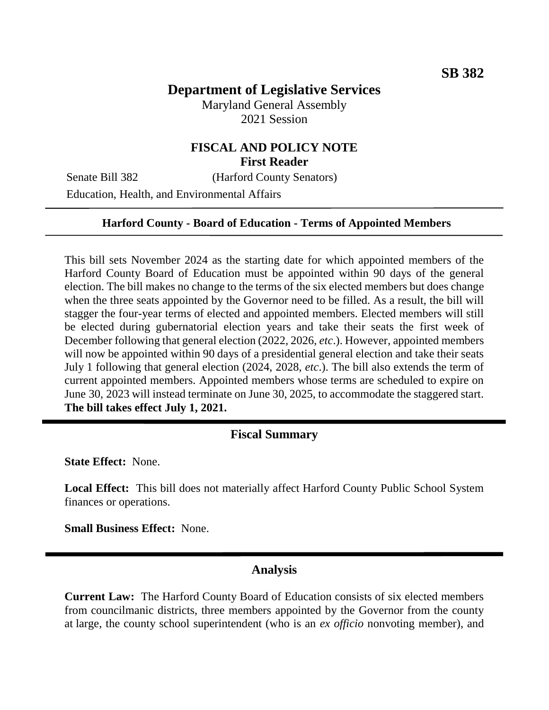# **Department of Legislative Services**

Maryland General Assembly 2021 Session

# **FISCAL AND POLICY NOTE First Reader**

Senate Bill 382 (Harford County Senators)

Education, Health, and Environmental Affairs

#### **Harford County - Board of Education - Terms of Appointed Members**

This bill sets November 2024 as the starting date for which appointed members of the Harford County Board of Education must be appointed within 90 days of the general election. The bill makes no change to the terms of the six elected members but does change when the three seats appointed by the Governor need to be filled. As a result, the bill will stagger the four-year terms of elected and appointed members. Elected members will still be elected during gubernatorial election years and take their seats the first week of December following that general election (2022, 2026, *etc*.). However, appointed members will now be appointed within 90 days of a presidential general election and take their seats July 1 following that general election (2024, 2028, *etc*.). The bill also extends the term of current appointed members. Appointed members whose terms are scheduled to expire on June 30, 2023 will instead terminate on June 30, 2025, to accommodate the staggered start. **The bill takes effect July 1, 2021.**

#### **Fiscal Summary**

**State Effect:** None.

**Local Effect:** This bill does not materially affect Harford County Public School System finances or operations.

**Small Business Effect:** None.

#### **Analysis**

**Current Law:** The Harford County Board of Education consists of six elected members from councilmanic districts, three members appointed by the Governor from the county at large, the county school superintendent (who is an *ex officio* nonvoting member), and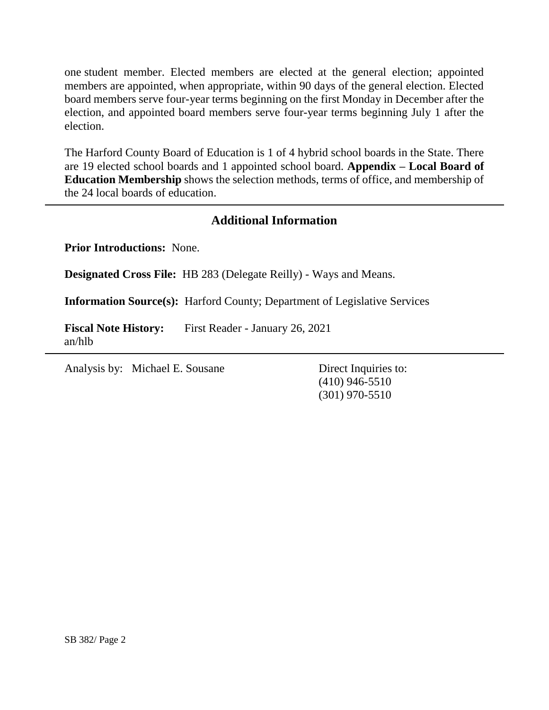one student member. Elected members are elected at the general election; appointed members are appointed, when appropriate, within 90 days of the general election. Elected board members serve four-year terms beginning on the first Monday in December after the election, and appointed board members serve four-year terms beginning July 1 after the election.

The Harford County Board of Education is 1 of 4 hybrid school boards in the State. There are 19 elected school boards and 1 appointed school board. **Appendix – Local Board of Education Membership** shows the selection methods, terms of office, and membership of the 24 local boards of education.

# **Additional Information**

**Prior Introductions:** None.

**Designated Cross File:** HB 283 (Delegate Reilly) - Ways and Means.

**Information Source(s):** Harford County; Department of Legislative Services

**Fiscal Note History:** First Reader - January 26, 2021 an/hlb

Analysis by: Michael E. Sousane Direct Inquiries to:

(410) 946-5510 (301) 970-5510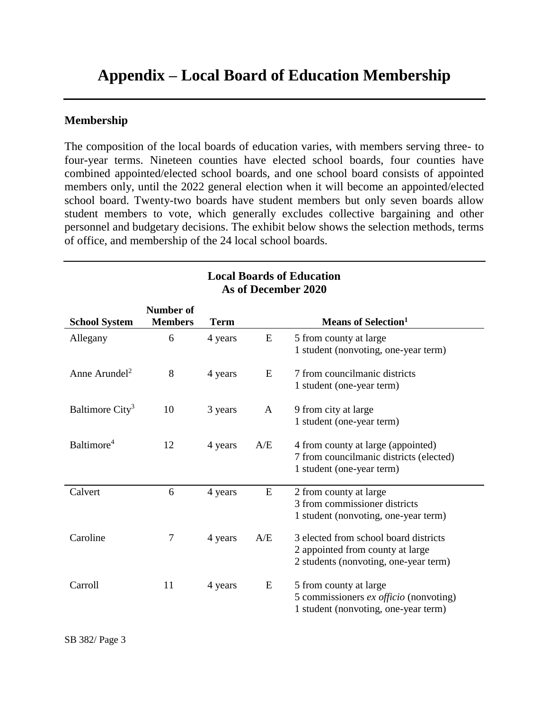# **Appendix – Local Board of Education Membership**

### **Membership**

The composition of the local boards of education varies, with members serving three- to four-year terms. Nineteen counties have elected school boards, four counties have combined appointed/elected school boards, and one school board consists of appointed members only, until the 2022 general election when it will become an appointed/elected school board. Twenty-two boards have student members but only seven boards allow student members to vote, which generally excludes collective bargaining and other personnel and budgetary decisions. The exhibit below shows the selection methods, terms of office, and membership of the 24 local school boards.

**Local Boards of Education**

| As of December 2020         |                             |             |     |                                                                                                                    |  |  |  |
|-----------------------------|-----------------------------|-------------|-----|--------------------------------------------------------------------------------------------------------------------|--|--|--|
| <b>School System</b>        | Number of<br><b>Members</b> | <b>Term</b> |     | <b>Means of Selection</b> <sup>1</sup>                                                                             |  |  |  |
| Allegany                    | 6                           | 4 years     | E   | 5 from county at large<br>1 student (nonvoting, one-year term)                                                     |  |  |  |
| Anne Arundel <sup>2</sup>   | 8                           | 4 years     | E   | 7 from councilmanic districts<br>1 student (one-year term)                                                         |  |  |  |
| Baltimore City <sup>3</sup> | 10                          | 3 years     | A   | 9 from city at large<br>1 student (one-year term)                                                                  |  |  |  |
| Baltimore <sup>4</sup>      | 12                          | 4 years     | A/E | 4 from county at large (appointed)<br>7 from councilmanic districts (elected)<br>1 student (one-year term)         |  |  |  |
| Calvert                     | 6                           | 4 years     | E   | 2 from county at large<br>3 from commissioner districts<br>1 student (nonvoting, one-year term)                    |  |  |  |
| Caroline                    | $\tau$                      | 4 years     | A/E | 3 elected from school board districts<br>2 appointed from county at large<br>2 students (nonvoting, one-year term) |  |  |  |
| Carroll                     | 11                          | 4 years     | E   | 5 from county at large<br>5 commissioners ex officio (nonvoting)<br>1 student (nonvoting, one-year term)           |  |  |  |

SB 382/ Page 3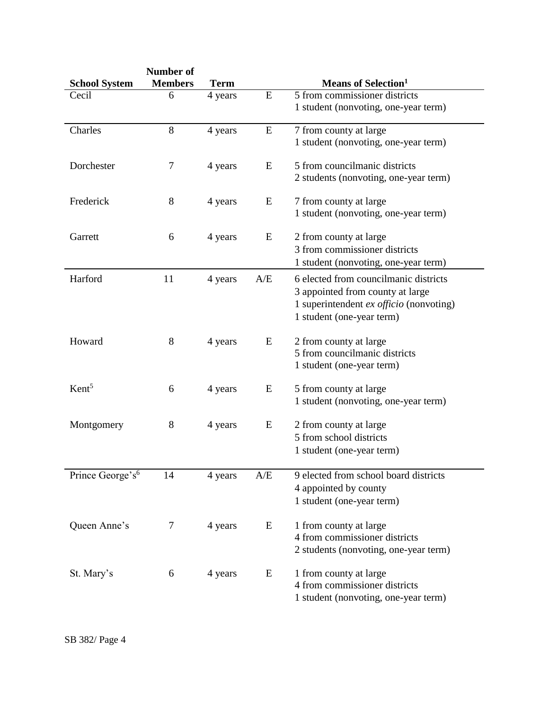|                              | Number of      |             |           |                                         |
|------------------------------|----------------|-------------|-----------|-----------------------------------------|
| <b>School System</b>         | <b>Members</b> | <b>Term</b> |           | <b>Means of Selection</b> <sup>1</sup>  |
| Cecil                        | 6              | 4 years     | ${\bf E}$ | 5 from commissioner districts           |
|                              |                |             |           | 1 student (nonvoting, one-year term)    |
| Charles                      | 8              | 4 years     | E         | 7 from county at large                  |
|                              |                |             |           | 1 student (nonvoting, one-year term)    |
| Dorchester                   | 7              | 4 years     | E         | 5 from councilmanic districts           |
|                              |                |             |           | 2 students (nonvoting, one-year term)   |
| Frederick                    | 8              | 4 years     | E         | 7 from county at large                  |
|                              |                |             |           | 1 student (nonvoting, one-year term)    |
| Garrett                      | 6              | 4 years     | E         | 2 from county at large                  |
|                              |                |             |           | 3 from commissioner districts           |
|                              |                |             |           | 1 student (nonvoting, one-year term)    |
| Harford                      | 11             | 4 years     | A/E       | 6 elected from councilmanic districts   |
|                              |                |             |           | 3 appointed from county at large        |
|                              |                |             |           | 1 superintendent ex officio (nonvoting) |
|                              |                |             |           | 1 student (one-year term)               |
| Howard                       | 8              | 4 years     | E         | 2 from county at large                  |
|                              |                |             |           | 5 from councilmanic districts           |
|                              |                |             |           | 1 student (one-year term)               |
| Kent <sup>5</sup>            | 6              | 4 years     | E         | 5 from county at large                  |
|                              |                |             |           | 1 student (nonvoting, one-year term)    |
| Montgomery                   | 8              | 4 years     | E         | 2 from county at large                  |
|                              |                |             |           | 5 from school districts                 |
|                              |                |             |           | 1 student (one-year term)               |
| Prince George's <sup>6</sup> | 14             | 4 years     | A/E       | 9 elected from school board districts   |
|                              |                |             |           | 4 appointed by county                   |
|                              |                |             |           | 1 student (one-year term)               |
| Queen Anne's                 | 7              | 4 years     | E         | 1 from county at large                  |
|                              |                |             |           | 4 from commissioner districts           |
|                              |                |             |           | 2 students (nonvoting, one-year term)   |
| St. Mary's                   | 6              | 4 years     | E         | 1 from county at large                  |
|                              |                |             |           | 4 from commissioner districts           |
|                              |                |             |           | 1 student (nonvoting, one-year term)    |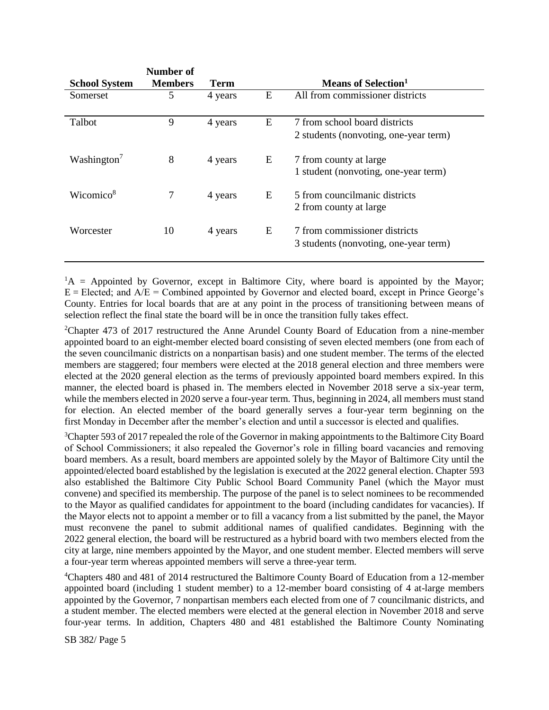| <b>School System</b>    | Number of<br><b>Members</b> | Term    |   | Means of Selection <sup>1</sup>                                        |
|-------------------------|-----------------------------|---------|---|------------------------------------------------------------------------|
| Somerset                | 5                           | 4 years | E | All from commissioner districts                                        |
| Talbot                  | 9                           | 4 years | E | 7 from school board districts<br>2 students (nonvoting, one-year term) |
| Washington <sup>7</sup> | 8                           | 4 years | E | 7 from county at large<br>1 student (nonvoting, one-year term)         |
| Wicomico <sup>8</sup>   |                             | 4 years | E | 5 from councilmanic districts<br>2 from county at large                |
| Worcester               | 10                          | 4 years | E | 7 from commissioner districts<br>3 students (nonvoting, one-year term) |

 ${}^{1}A$  = Appointed by Governor, except in Baltimore City, where board is appointed by the Mayor;  $E = E$ lected; and  $A/E =$  Combined appointed by Governor and elected board, except in Prince George's County. Entries for local boards that are at any point in the process of transitioning between means of selection reflect the final state the board will be in once the transition fully takes effect.

<sup>2</sup>Chapter 473 of 2017 restructured the Anne Arundel County Board of Education from a nine-member appointed board to an eight-member elected board consisting of seven elected members (one from each of the seven councilmanic districts on a nonpartisan basis) and one student member. The terms of the elected members are staggered; four members were elected at the 2018 general election and three members were elected at the 2020 general election as the terms of previously appointed board members expired. In this manner, the elected board is phased in. The members elected in November 2018 serve a six-year term, while the members elected in 2020 serve a four-year term. Thus, beginning in 2024, all members must stand for election. An elected member of the board generally serves a four-year term beginning on the first Monday in December after the member's election and until a successor is elected and qualifies.

<sup>3</sup>Chapter 593 of 2017 repealed the role of the Governor in making appointments to the Baltimore City Board of School Commissioners; it also repealed the Governor's role in filling board vacancies and removing board members. As a result, board members are appointed solely by the Mayor of Baltimore City until the appointed/elected board established by the legislation is executed at the 2022 general election. Chapter 593 also established the Baltimore City Public School Board Community Panel (which the Mayor must convene) and specified its membership. The purpose of the panel is to select nominees to be recommended to the Mayor as qualified candidates for appointment to the board (including candidates for vacancies). If the Mayor elects not to appoint a member or to fill a vacancy from a list submitted by the panel, the Mayor must reconvene the panel to submit additional names of qualified candidates. Beginning with the 2022 general election, the board will be restructured as a hybrid board with two members elected from the city at large, nine members appointed by the Mayor, and one student member. Elected members will serve a four-year term whereas appointed members will serve a three-year term.

<sup>4</sup>Chapters 480 and 481 of 2014 restructured the Baltimore County Board of Education from a 12-member appointed board (including 1 student member) to a 12-member board consisting of 4 at-large members appointed by the Governor, 7 nonpartisan members each elected from one of 7 councilmanic districts, and a student member. The elected members were elected at the general election in November 2018 and serve four-year terms. In addition, Chapters 480 and 481 established the Baltimore County Nominating

SB 382/ Page 5